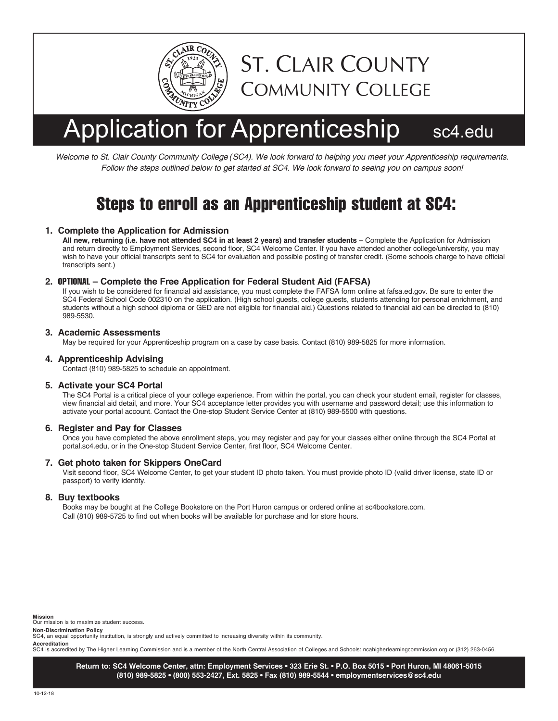

# Application for Apprenticeship sc4.edu

ST. CLAIR COUNTY

COMMUNITY COLLEGE

*Welcome to St. Clair County Community College (SC4). We look forward to helping you meet your Apprenticeship requirements. Follow the steps outlined below to get started at SC4. We look forward to seeing you on campus soon!*

### Steps to enroll as an Apprenticeship student at SC4:

#### **1. Complete the Application for Admission**

**All new, returning (i.e. have not attended SC4 in at least 2 years) and transfer students** – Complete the Application for Admission and return directly to Employment Services, second floor, SC4 Welcome Center. If you have attended another college/university, you may wish to have your official transcripts sent to SC4 for evaluation and possible posting of transfer credit. (Some schools charge to have official transcripts sent.)

#### **2.** OPTIONAL **– Complete the Free Application for Federal Student Aid (FAFSA)**

If you wish to be considered for financial aid assistance, you must complete the FAFSA form online at fafsa.ed.gov. Be sure to enter the SC4 Federal School Code 002310 on the application. (High school guests, college guests, students attending for personal enrichment, and students without a high school diploma or GED are not eligible for financial aid.) Questions related to financial aid can be directed to (810) 989-5530.

#### **3. Academic Assessments**

May be required for your Apprenticeship program on a case by case basis. Contact (810) 989-5825 for more information.

#### **4. Apprenticeship Advising**

Contact (810) 989-5825 to schedule an appointment.

#### **5. Activate your SC4 Portal**

The SC4 Portal is a critical piece of your college experience. From within the portal, you can check your student email, register for classes, view financial aid detail, and more. Your SC4 acceptance letter provides you with username and password detail; use this information to activate your portal account. Contact the One-stop Student Service Center at (810) 989-5500 with questions.

#### **6. Register and Pay for Classes**

Once you have completed the above enrollment steps, you may register and pay for your classes either online through the SC4 Portal at portal.sc4.edu, or in the One-stop Student Service Center, first floor, SC4 Welcome Center.

#### **7. Get photo taken for Skippers OneCard**

Visit second floor, SC4 Welcome Center, to get your student ID photo taken. You must provide photo ID (valid driver license, state ID or passport) to verify identity.

#### **8. Buy textbooks**

Books may be bought at the College Bookstore on the Port Huron campus or ordered online at sc4bookstore.com. Call (810) 989-5725 to find out when books will be available for purchase and for store hours.

**Mission**

Our mission is to maximize student success.

**Non-Discrimination Policy** SC4, an equal opportunity institution, is strongly and actively committed to increasing diversity within its community.

**Accreditation**<br>SC4 is accredited by The Higher Learning Commission and is a member of the North Central Association of Colleges and Schools: ncahigherlearningcommission.org or (312) 263-0456.

**Return to: SC4 Welcome Center, attn: Employment Services • 323 Erie St. • P.O. Box 5015 • Port Huron, MI 48061-5015 (810) 989-5825 • (800) 553-2427, Ext. 5825 • Fax (810) 989-5544 • employmentservices@sc4.edu**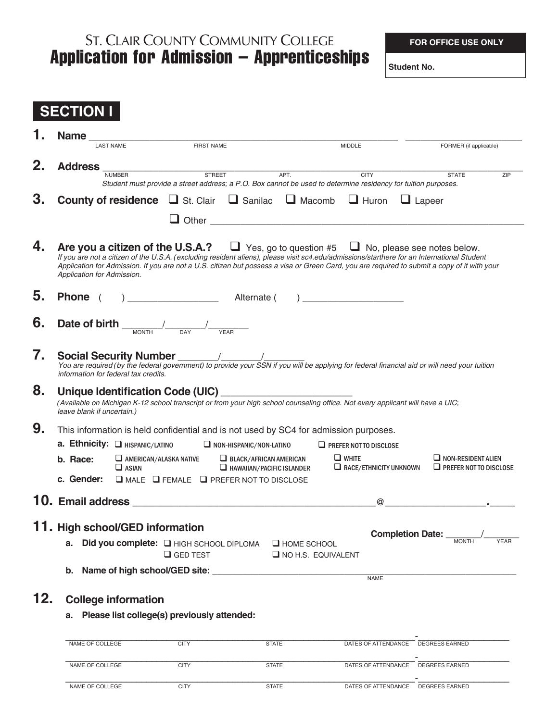## **Application for Admission – Apprenticeships** ST. CLAIR COUNTY COMMUNITY COLLEGE

**FOR OFFICE USE ONLY**

|     | <b>SECTION I</b>                                                                                                                                                                                 |                                                                                      |                                                               |                                                                   |                                                                                                                                                                                                                                                        |                                                                                                                                              |  |  |  |
|-----|--------------------------------------------------------------------------------------------------------------------------------------------------------------------------------------------------|--------------------------------------------------------------------------------------|---------------------------------------------------------------|-------------------------------------------------------------------|--------------------------------------------------------------------------------------------------------------------------------------------------------------------------------------------------------------------------------------------------------|----------------------------------------------------------------------------------------------------------------------------------------------|--|--|--|
|     | <b>Name</b>                                                                                                                                                                                      |                                                                                      |                                                               |                                                                   |                                                                                                                                                                                                                                                        |                                                                                                                                              |  |  |  |
|     |                                                                                                                                                                                                  | <b>LAST NAME</b>                                                                     | <b>FIRST NAME</b>                                             |                                                                   | <b>MIDDLE</b>                                                                                                                                                                                                                                          | FORMER (if applicable)                                                                                                                       |  |  |  |
| 2.  | <b>Address</b>                                                                                                                                                                                   | <b>NUMBER</b>                                                                        | <b>STREET</b>                                                 | APT.                                                              | <b>CITY</b><br>Student must provide a street address; a P.O. Box cannot be used to determine residency for tuition purposes.                                                                                                                           | <b>STATE</b><br>ZIP                                                                                                                          |  |  |  |
| 3.  |                                                                                                                                                                                                  |                                                                                      | <b>County of residence Let</b> St. Clair<br>ப                 | $\Box$ Sanilac $\Box$ Macomb                                      | $\Box$ Huron<br>Other contracts are all the contracts of the contracts of the contracts of the contracts of the contracts of the contracts of the contracts of the contracts of the contracts of the contracts of the contracts of the contrac         | $\Box$ Lapeer                                                                                                                                |  |  |  |
| 4.  | Application for Admission.                                                                                                                                                                       |                                                                                      |                                                               |                                                                   | <b>Are you a citizen of the U.S.A.?</b> $\Box$ Yes, go to question #5 $\Box$ No, please see notes below.<br>If you are not a citizen of the U.S.A. (excluding resident aliens), please visit sc4.edu/admissions/starthere for an International Student | Application for Admission. If you are not a U.S. citizen but possess a visa or Green Card, you are required to submit a copy of it with your |  |  |  |
| 5.  | Alternate (<br><b>Phone</b>                                                                                                                                                                      |                                                                                      |                                                               |                                                                   |                                                                                                                                                                                                                                                        |                                                                                                                                              |  |  |  |
| 6.  | Date of birth                                                                                                                                                                                    |                                                                                      |                                                               |                                                                   |                                                                                                                                                                                                                                                        |                                                                                                                                              |  |  |  |
| 7.  | You are required (by the federal government) to provide your SSN if you will be applying for federal financial aid or will need your tuition<br>information for federal tax credits.             |                                                                                      |                                                               |                                                                   |                                                                                                                                                                                                                                                        |                                                                                                                                              |  |  |  |
| 8.  | Unique Identification Code (UIC)<br>(Available on Michigan K-12 school transcript or from your high school counseling office. Not every applicant will have a UIC;<br>leave blank if uncertain.) |                                                                                      |                                                               |                                                                   |                                                                                                                                                                                                                                                        |                                                                                                                                              |  |  |  |
| 9.  |                                                                                                                                                                                                  | This information is held confidential and is not used by SC4 for admission purposes. |                                                               |                                                                   |                                                                                                                                                                                                                                                        |                                                                                                                                              |  |  |  |
|     | a. Ethnicity: <b>Q HISPANIC/LATINO</b>                                                                                                                                                           |                                                                                      |                                                               | $\Box$ NON-HISPANIC/NON-LATINO                                    | $\Box$ PREFER NOT TO DISCLOSE                                                                                                                                                                                                                          |                                                                                                                                              |  |  |  |
|     | b. Race:<br>c. Gender:                                                                                                                                                                           | $\Box$ AMERICAN/ALASKA NATIVE<br>$\Box$ ASIAN                                        | $\Box$ MALE $\Box$ FEMALE $\Box$ PREFER NOT TO DISCLOSE       | $\Box$ BLACK/AFRICAN AMERICAN<br>$\Box$ HAWAIIAN/PACIFIC ISLANDER | $\Box$ WHITE<br>$\Box$ RACE/ETHNICITY UNKNOWN                                                                                                                                                                                                          | $\Box$ NON-RESIDENT ALIEN<br>$\Box$ PREFER NOT TO DISCLOSE                                                                                   |  |  |  |
|     |                                                                                                                                                                                                  |                                                                                      |                                                               |                                                                   |                                                                                                                                                                                                                                                        |                                                                                                                                              |  |  |  |
|     | 10. Email address                                                                                                                                                                                |                                                                                      |                                                               |                                                                   | $^{\copyright}$                                                                                                                                                                                                                                        |                                                                                                                                              |  |  |  |
|     | 11. High school/GED information                                                                                                                                                                  |                                                                                      |                                                               |                                                                   |                                                                                                                                                                                                                                                        |                                                                                                                                              |  |  |  |
|     |                                                                                                                                                                                                  |                                                                                      | a. Did you complete: I HIGH SCHOOL DIPLOMA<br>$\Box$ GED TEST | <b>E HOME SCHOOL</b><br>$\Box$ NO H.S. EQUIVALENT                 |                                                                                                                                                                                                                                                        | <b>YEAR</b>                                                                                                                                  |  |  |  |
|     |                                                                                                                                                                                                  |                                                                                      | b. Name of high school/GED site:                              |                                                                   | <b>NAME</b>                                                                                                                                                                                                                                            |                                                                                                                                              |  |  |  |
| 12. |                                                                                                                                                                                                  | <b>College information</b>                                                           |                                                               |                                                                   |                                                                                                                                                                                                                                                        |                                                                                                                                              |  |  |  |
|     | а.                                                                                                                                                                                               |                                                                                      | Please list college(s) previously attended:                   |                                                                   |                                                                                                                                                                                                                                                        |                                                                                                                                              |  |  |  |
|     | NAME OF COLLEGE                                                                                                                                                                                  |                                                                                      | <b>CITY</b>                                                   | <b>STATE</b>                                                      | DATES OF ATTENDANCE                                                                                                                                                                                                                                    | <b>DEGREES EARNED</b>                                                                                                                        |  |  |  |
|     | NAME OF COLLEGE                                                                                                                                                                                  |                                                                                      | <b>CITY</b>                                                   | <b>STATE</b>                                                      |                                                                                                                                                                                                                                                        | DATES OF ATTENDANCE DEGREES EARNED                                                                                                           |  |  |  |
|     | NAME OF COLLEGE                                                                                                                                                                                  |                                                                                      | <b>CITY</b>                                                   | <b>STATE</b>                                                      |                                                                                                                                                                                                                                                        | DATES OF ATTENDANCE DEGREES EARNED                                                                                                           |  |  |  |